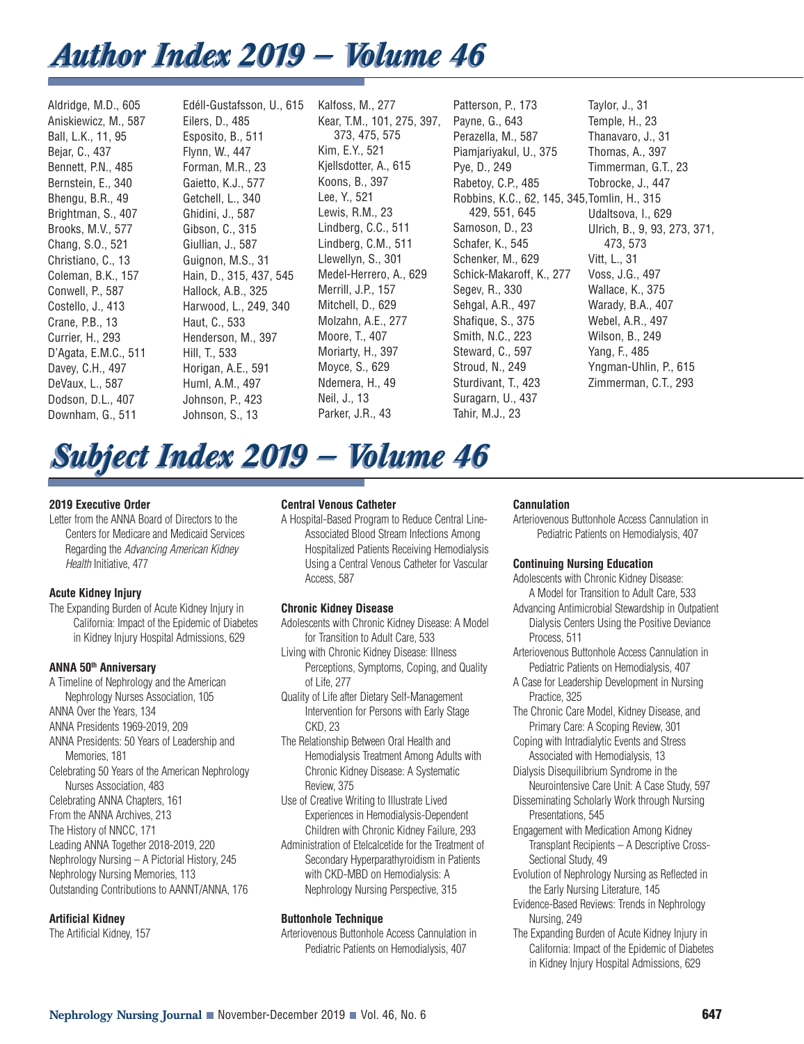# *Author Index 2019 — Volume 46 Author Index 2019 — Volume 46*

Aldridge, M.D., 605 Aniskiewicz, M., 587 Ball, L.K., 11, 95 Bejar, C., 437 Bennett, P.N., 485 Bernstein, E., 340 Bhengu, B.R., 49 Brightman, S., 407 Brooks, M.V., 577 Chang, S.O., 521 Christiano, C., 13 Coleman, B.K., 157 Conwell, P., 587 Costello, J., 413 Crane, P.B., 13 Currier, H., 293 D'Agata, E.M.C., 511 Davey, C.H., 497 DeVaux, L., 587 Dodson, D.L., 407 Downham, G., 511

Edéll-Gustafsson, U., 615 Eilers, D., 485 Esposito, B., 511 Flynn, W., 447 Forman, M.R., 23 Gaietto, K.J., 577 Getchell, L., 340 Ghidini, J., 587 Gibson, C., 315 Giullian, J., 587 Guignon, M.S., 31 Hain, D., 315, 437, 545 Hallock, A.B., 325 Harwood, L., 249, 340 Haut, C., 533 Henderson, M., 397 Hill, T., 533 Horigan, A.E., 591 Huml, A.M., 497 Johnson, P., 423 Johnson, S., 13

Kalfoss, M., 277 Kear, T.M., 101, 275, 397, 373, 475, 575 Kim, E.Y., 521 Kjellsdotter, A., 615 Koons, B., 397 Lee, Y., 521 Lewis, R.M., 23 Lindberg, C.C., 511 Lindberg, C.M., 511 Llewellyn, S., 301 Medel-Herrero, A., 629 Merrill, J.P., 157 Mitchell, D., 629 Molzahn, A.E., 277 Moore, T., 407 Moriarty, H., 397 Moyce, S., 629 Ndemera, H., 49 Neil, J., 13 Parker, J.R., 43

Patterson, P., 173 Payne, G., 643 Perazella, M., 587 Piamjariyakul, U., 375 Pye, D., 249 Rabetoy, C.P., 485 Robbins, K.C., 62, 145, 345, Tomlin, H., 315 429, 551, 645 Samoson, D., 23 Schafer, K., 545 Schenker, M., 629 Schick-Makaroff, K., 277 Segev, R., 330 Sehgal, A.R., 497 Shafique, S., 375 Smith, N.C., 223 Steward, C., 597 Stroud, N., 249 Sturdivant, T., 423 Suragarn, U., 437 Tahir, M.J., 23 Taylor, J., 31 Temple, H., 23 Thanavaro, J., 31 Thomas, A., 397 Timmerman, G.T., 23 Tobrocke, J., 447 Udaltsova, I., 629 Ulrich, B., 9, 93, 273, 371, 473, 573 Vitt, L., 31 Voss, J.G., 497 Wallace, K., 375 Warady, B.A., 407 Webel, A.R., 497 Wilson, B., 249 Yang, F., 485 Yngman-Uhlin, P., 615 Zimmerman, C.T., 293

# *Subject Index 2019 — Volume 46 Subject Index 2019 — Volume 46*

#### **2019 Executive Order**

Letter from the ANNA Board of Directors to the Centers for Medicare and Medicaid Services Regarding the Advancing American Kidney Health Initiative, 477

## **Acute Kidney Injury**

The Expanding Burden of Acute Kidney Injury in California: Impact of the Epidemic of Diabetes in Kidney Injury Hospital Admissions, 629

#### **ANNA 50th Anniversary**

A Timeline of Nephrology and the American Nephrology Nurses Association, 105 ANNA Over the Years, 134 ANNA Presidents 1969-2019, 209 ANNA Presidents: 50 Years of Leadership and Memories, 181 Celebrating 50 Years of the American Nephrology Nurses Association, 483 Celebrating ANNA Chapters, 161 From the ANNA Archives, 213 The History of NNCC, 171 Leading ANNA Together 2018-2019, 220 Nephrology Nursing – A Pictorial History, 245 Nephrology Nursing Memories, 113 Outstanding Contributions to AANNT/ANNA, 176

#### **Artificial Kidney**

The Artificial Kidney, 157

#### **Central Venous Catheter**

A Hospital-Based Program to Reduce Central Line-Associated Blood Stream Infections Among Hospitalized Patients Receiving Hemodialysis Using a Central Venous Catheter for Vascular Access, 587

#### **Chronic Kidney Disease**

- Adolescents with Chronic Kidney Disease: A Model for Transition to Adult Care, 533
- Living with Chronic Kidney Disease: Illness Perceptions, Symptoms, Coping, and Quality of Life, 277
- Quality of Life after Dietary Self-Management Intervention for Persons with Early Stage CKD, 23
- The Relationship Between Oral Health and Hemodialysis Treatment Among Adults with Chronic Kidney Disease: A Systematic Review, 375
- Use of Creative Writing to Illustrate Lived Experiences in Hemodialysis-Dependent Children with Chronic Kidney Failure, 293
- Administration of Etelcalcetide for the Treatment of Secondary Hyperparathyroidism in Patients with CKD-MBD on Hemodialysis: A Nephrology Nursing Perspective, 315

#### **Buttonhole Technique**

Arteriovenous Buttonhole Access Cannulation in Pediatric Patients on Hemodialysis, 407

#### **Cannulation**

Arteriovenous Buttonhole Access Cannulation in Pediatric Patients on Hemodialysis, 407

#### **Continuing Nursing Education**

Adolescents with Chronic Kidney Disease: A Model for Transition to Adult Care, 533

- Advancing Antimicrobial Stewardship in Outpatient Dialysis Centers Using the Positive Deviance Process, 511
- Arteriovenous Buttonhole Access Cannulation in Pediatric Patients on Hemodialysis, 407
- A Case for Leadership Development in Nursing Practice, 325
- The Chronic Care Model, Kidney Disease, and Primary Care: A Scoping Review, 301
- Coping with Intradialytic Events and Stress Associated with Hemodialysis, 13
- Dialysis Disequilibrium Syndrome in the Neurointensive Care Unit: A Case Study, 597
- Disseminating Scholarly Work through Nursing Presentations, 545
- Engagement with Medication Among Kidney Transplant Recipients – A Descriptive Cross-Sectional Study, 49
- Evolution of Nephrology Nursing as Reflected in the Early Nursing Literature, 145
- Evidence-Based Reviews: Trends in Nephrology Nursing, 249
- The Expanding Burden of Acute Kidney Injury in California: Impact of the Epidemic of Diabetes in Kidney Injury Hospital Admissions, 629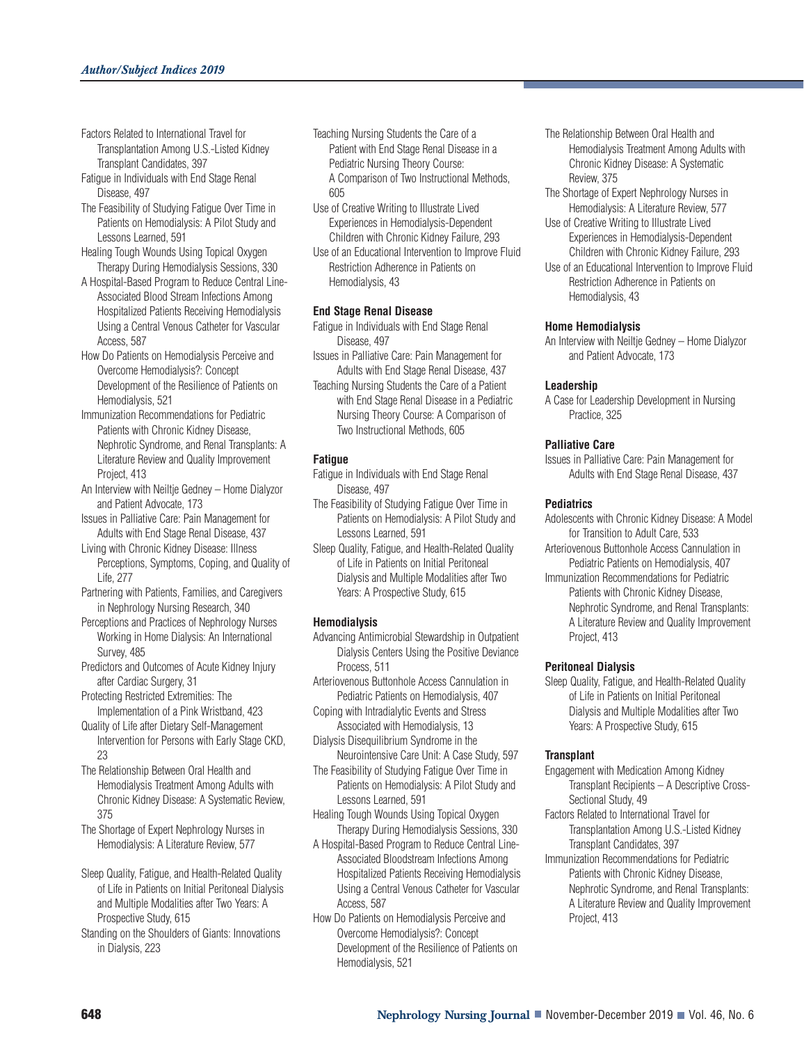- Factors Related to International Travel for Transplantation Among U.S.-Listed Kidney Transplant Candidates, 397
- Fatigue in Individuals with End Stage Renal Disease, 497
- The Feasibility of Studying Fatigue Over Time in Patients on Hemodialysis: A Pilot Study and Lessons Learned, 591
- Healing Tough Wounds Using Topical Oxygen Therapy During Hemodialysis Sessions, 330
- A Hospital-Based Program to Reduce Central Line-Associated Blood Stream Infections Among Hospitalized Patients Receiving Hemodialysis Using a Central Venous Catheter for Vascular Access, 587
- How Do Patients on Hemodialysis Perceive and Overcome Hemodialysis?: Concept Development of the Resilience of Patients on Hemodialysis, 521
- Immunization Recommendations for Pediatric Patients with Chronic Kidney Disease, Nephrotic Syndrome, and Renal Transplants: A Literature Review and Quality Improvement Project, 413
- An Interview with Neiltje Gedney Home Dialyzor and Patient Advocate, 173
- Issues in Palliative Care: Pain Management for Adults with End Stage Renal Disease, 437
- Living with Chronic Kidney Disease: Illness Perceptions, Symptoms, Coping, and Quality of Life, 277
- Partnering with Patients, Families, and Caregivers in Nephrology Nursing Research, 340
- Perceptions and Practices of Nephrology Nurses Working in Home Dialysis: An International Survey, 485
- Predictors and Outcomes of Acute Kidney Injury after Cardiac Surgery, 31
- Protecting Restricted Extremities: The Implementation of a Pink Wristband, 423
- Quality of Life after Dietary Self-Management Intervention for Persons with Early Stage CKD, 23
- The Relationship Between Oral Health and Hemodialysis Treatment Among Adults with Chronic Kidney Disease: A Systematic Review, 375
- The Shortage of Expert Nephrology Nurses in Hemodialysis: A Literature Review, 577
- Sleep Quality, Fatigue, and Health-Related Quality of Life in Patients on Initial Peritoneal Dialysis and Multiple Modalities after Two Years: A Prospective Study, 615
- Standing on the Shoulders of Giants: Innovations in Dialysis, 223
- Teaching Nursing Students the Care of a Patient with End Stage Renal Disease in a Pediatric Nursing Theory Course: A Comparison of Two Instructional Methods, 605
- Use of Creative Writing to Illustrate Lived Experiences in Hemodialysis-Dependent Children with Chronic Kidney Failure, 293
- Use of an Educational Intervention to Improve Fluid Restriction Adherence in Patients on Hemodialysis, 43

#### **End Stage Renal Disease**

- Fatigue in Individuals with End Stage Renal Disease, 497
- Issues in Palliative Care: Pain Management for Adults with End Stage Renal Disease, 437
- Teaching Nursing Students the Care of a Patient with End Stage Renal Disease in a Pediatric Nursing Theory Course: A Comparison of Two Instructional Methods, 605

#### **Fatigue**

Fatigue in Individuals with End Stage Renal Disease, 497

- The Feasibility of Studying Fatigue Over Time in Patients on Hemodialysis: A Pilot Study and Lessons Learned, 591
- Sleep Quality, Fatigue, and Health-Related Quality of Life in Patients on Initial Peritoneal Dialysis and Multiple Modalities after Two Years: A Prospective Study, 615

#### **Hemodialysis**

- Advancing Antimicrobial Stewardship in Outpatient Dialysis Centers Using the Positive Deviance Process, 511
- Arteriovenous Buttonhole Access Cannulation in Pediatric Patients on Hemodialysis, 407
- Coping with Intradialytic Events and Stress Associated with Hemodialysis, 13
- Dialysis Disequilibrium Syndrome in the Neurointensive Care Unit: A Case Study, 597
- The Feasibility of Studying Fatigue Over Time in Patients on Hemodialysis: A Pilot Study and Lessons Learned, 591
- Healing Tough Wounds Using Topical Oxygen Therapy During Hemodialysis Sessions, 330
- A Hospital-Based Program to Reduce Central Line-Associated Bloodstream Infections Among Hospitalized Patients Receiving Hemodialysis Using a Central Venous Catheter for Vascular Access, 587
- How Do Patients on Hemodialysis Perceive and Overcome Hemodialysis?: Concept Development of the Resilience of Patients on Hemodialysis, 521
- The Relationship Between Oral Health and Hemodialysis Treatment Among Adults with Chronic Kidney Disease: A Systematic Review, 375
- The Shortage of Expert Nephrology Nurses in Hemodialysis: A Literature Review, 577
- Use of Creative Writing to Illustrate Lived Experiences in Hemodialysis-Dependent Children with Chronic Kidney Failure, 293
- Use of an Educational Intervention to Improve Fluid Restriction Adherence in Patients on Hemodialysis, 43

#### **Home Hemodialysis**

An Interview with Neiltje Gedney – Home Dialyzor and Patient Advocate, 173

#### **Leadership**

A Case for Leadership Development in Nursing Practice, 325

#### **Palliative Care**

Issues in Palliative Care: Pain Management for Adults with End Stage Renal Disease, 437

#### **Pediatrics**

- Adolescents with Chronic Kidney Disease: A Model for Transition to Adult Care, 533
- Arteriovenous Buttonhole Access Cannulation in Pediatric Patients on Hemodialysis, 407
- Immunization Recommendations for Pediatric Patients with Chronic Kidney Disease, Nephrotic Syndrome, and Renal Transplants: A Literature Review and Quality Improvement Project, 413

#### **Peritoneal Dialysis**

Sleep Quality, Fatigue, and Health-Related Quality of Life in Patients on Initial Peritoneal Dialysis and Multiple Modalities after Two Years: A Prospective Study, 615

#### **Transplant**

- Engagement with Medication Among Kidney Transplant Recipients – A Descriptive Cross-Sectional Study, 49
- Factors Related to International Travel for Transplantation Among U.S.-Listed Kidney Transplant Candidates, 397
- Immunization Recommendations for Pediatric Patients with Chronic Kidney Disease, Nephrotic Syndrome, and Renal Transplants: A Literature Review and Quality Improvement Project, 413